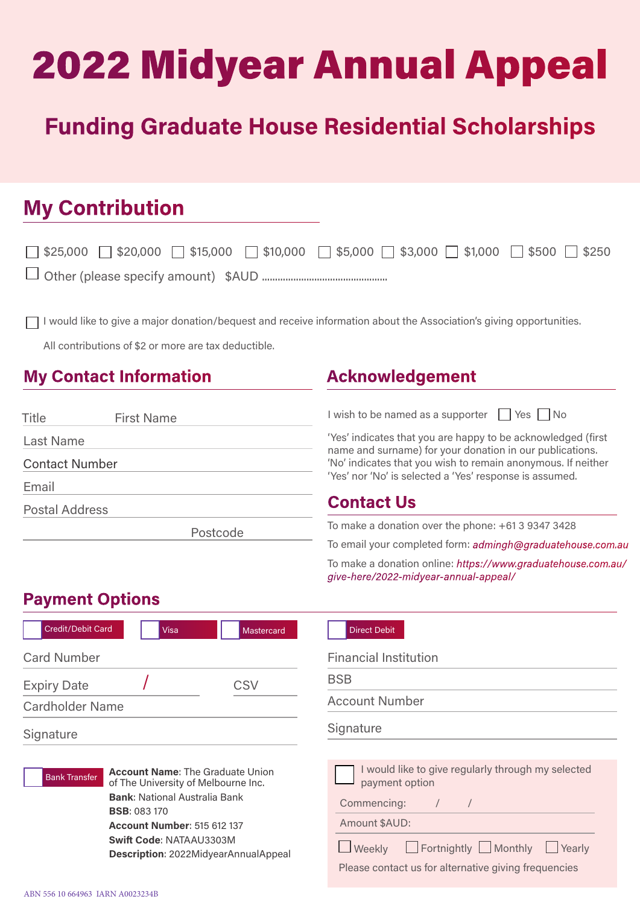# 2022 Midyear Annual Appeal

# Funding Graduate House Residential Scholarships

# My Contribution

| $\Box$ \$25,000 $\Box$ \$20,000 $\Box$ \$15,000 $\Box$ \$10,000 $\Box$ \$5,000 $\Box$ \$1,000 $\Box$ \$500 $\Box$ \$250 |  |  |  |
|-------------------------------------------------------------------------------------------------------------------------|--|--|--|
|                                                                                                                         |  |  |  |

I would like to give a major donation/bequest and receive information about the Association's giving opportunities.

All contributions of \$2 or more are tax deductible.

### My Contact Information The Acknowledgement

| Title                 | <b>First Name</b> |          |  |  |
|-----------------------|-------------------|----------|--|--|
| <b>Last Name</b>      |                   |          |  |  |
| <b>Contact Number</b> |                   |          |  |  |
| Email                 |                   |          |  |  |
| <b>Postal Address</b> |                   |          |  |  |
|                       |                   | Postcode |  |  |

I wish to be named as a supporter  $\Box$  Yes  $\Box$  No

'Yes' indicates that you are happy to be acknowledged (first name and surname) for your donation in our publications. 'No' indicates that you wish to remain anonymous. If neither 'Yes' nor 'No' is selected a 'Yes' response is assumed.

### Contact Us

To make a donation over the phone: +61 3 9347 3428

To email your completed form: admingh@graduatehouse.com.au

To make a donation online: https://www.graduatehouse.com.au/ give-here/2022-midyear-annual-appeal/

## Payment Options



| <b>Direct Debit</b>          |                                                    |
|------------------------------|----------------------------------------------------|
| <b>Financial Institution</b> |                                                    |
| <b>BSB</b>                   |                                                    |
| <b>Account Number</b>        |                                                    |
| Signature                    |                                                    |
|                              |                                                    |
| payment option               | I would like to give regularly through my selected |
| Commencing:                  |                                                    |
| $\mathbf{A}$ $\mathbf{A}$    |                                                    |

Amount \$AUD:

Weekly **Fortnightly Monthly Yearly** 

Please contact us for alternative giving frequencies